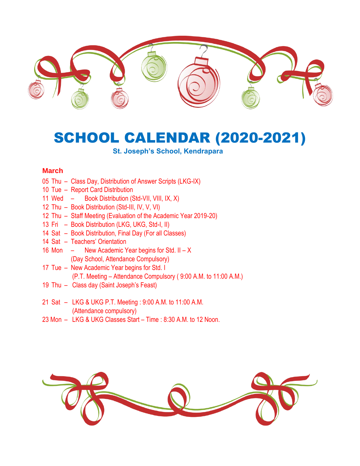

# SCHOOL CALENDAR (2020-2021)

## **St. Joseph's School, Kendrapara**

#### **March**

- 05 Thu Class Day, Distribution of Answer Scripts (LKG-IX)
- 10 Tue Report Card Distribution
- 11 Wed Book Distribution (Std-VII, VIII, IX, X)
- 12 Thu Book Distribution (Std-III, IV, V, VI)
- 12 Thu Staff Meeting (Evaluation of the Academic Year 2019-20)
- 13 Fri Book Distribution (LKG, UKG, Std-I, II)
- 14 Sat Book Distribution, Final Day (For all Classes)
- 14 Sat Teachers' Orientation
- 16 Mon New Academic Year begins for Std. II X (Day School, Attendance Compulsory)
- 17 Tue New Academic Year begins for Std. I (P.T. Meeting – Attendance Compulsory ( 9:00 A.M. to 11:00 A.M.)
- 19 Thu Class day (Saint Joseph's Feast)
- 21 Sat LKG & UKG P.T. Meeting : 9:00 A.M. to 11:00 A.M. (Attendance compulsory)
- 23 Mon LKG & UKG Classes Start Time : 8:30 A.M. to 12 Noon.

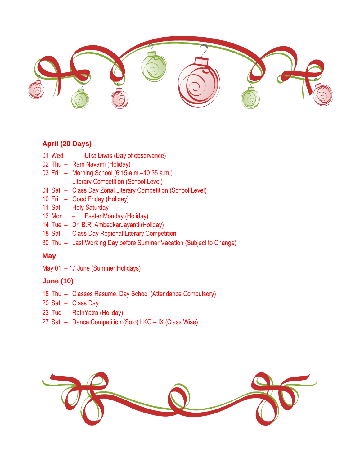

# **April (20 Days)**

- 01 Wed UtkalDivas (Day of observance)
- 02 Thu Ram Navami (Holiday)
- 03 Fri Morning School (6:15 a.m.–10:35 a.m.) Literary Competition (School Level)
- 04 Sat Class Day Zonal Literary Competition (School Level)
- 10 Fri Good Friday (Holiday)
- 11 Sat Holy Saturday
- 13 Mon Easter Monday (Holiday)
- 14 Tue Dr. B.R. AmbedkarJayanti (Holiday)
- 18 Sat Class Day Regional Literary Competition
- 30 Thu Last Working Day before Summer Vacation (Subject to Change)

## **May**

May 01 – 17 June (Summer Holidays)

## **June (10)**

- 18 Thu Classes Resume, Day School (Attendance Compulsory)
- 20 Sat Class Day
- 23 Tue RathYatra (Holiday)
- 27 Sat Dance Competition (Solo) LKG IX (Class Wise)

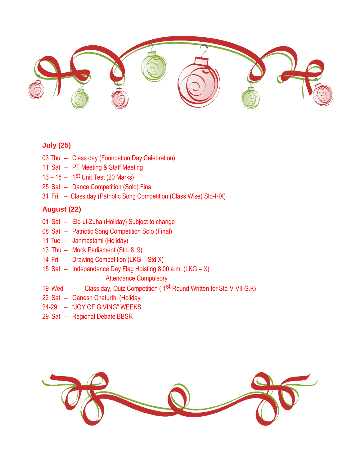

# **July (25)**

- 03 Thu Class day (Foundation Day Celebration)
- 11 Sat PT Meeting & Staff Meeting
- 13 18 1<sup>st</sup> Unit Test (20 Marks)
- 25 Sat Dance Competition (Solo) Final
- 31 Fri Class day (Patriotic Song Competition (Class Wise) Std-I-IX)

# **August (22)**

- 01 Sat Eid-ul-Zuha (Holiday) Subject to change
- 08 Sat Patriotic Song Competition Solo (Final)
- 11 Tue Janmastami (Holiday)
- 13 Thu Mock Parliament (Std. 8, 9)
- 14 Fri Drawing Competition (LKG Std.X)
- 15 Sat Independence Day Flag Hoisting 8:00 a.m. (LKG X)
	- Attendance Compulsory
- 19 Wed Class day, Quiz Competition ( 1<sup>st</sup> Round Written for Std-V-VII G.K)
- 22 Sat Ganesh Chaturthi (Holiday
- 24-29 "JOY OF GIVING" WEEKS
- 29 Sat Regional Debate BBSR

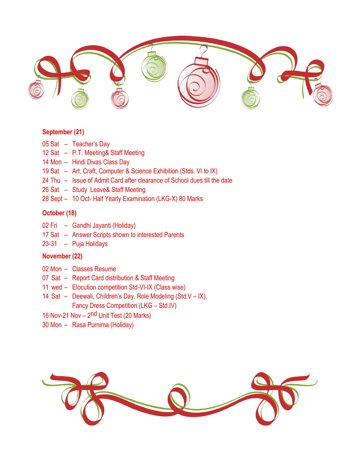

#### **September (21)**

- 05 Sat Teacher's Day
- 12 Sat P.T. Meeting& Staff Meeting
- 14 Mon Hindi Divas Class Day
- 19 Sat Art, Craft, Computer & Science Exhibition (Stds. VI to IX)
- 24 Thu Issue of Admit Card after clearance of School dues till the date
- 26 Sat Study Leave& Staff Meeting
- 28 Sept 10 Oct- Half Yearly Examination (LKG-X) 80 Marks

### **October (18)**

- 02 Fri Gandhi Jayanti (Holiday)
- 17 Sat Answer Scripts shown to interested Parents
- 23-31 Puja Holidays

# **November (22)**

- 02 Mon Classes Resume
- 07 Sat Report Card distribution & Staff Meeting
- 11 wed Elocution competition Std-VI-IX (Class wise)
- 14 Sat Deewali, Children's Day, Role Modeling (Std.V IX), Fancy Dress Competition (LKG – Std.IV)
- 16 Nov-21 Nov 2<sup>nd</sup> Unit Test (20 Marks)
- 30 Mon Rasa Purnima (Holiday)

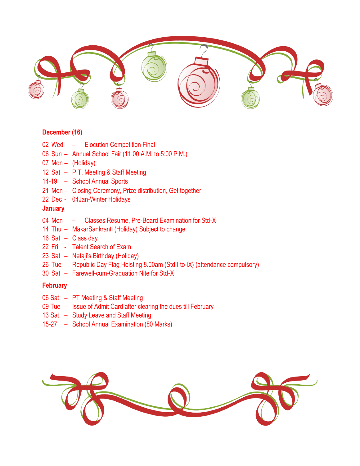

## **December (16)**

- 02 Wed Elocution Competition Final
- 06 Sun Annual School Fair (11:00 A.M. to 5:00 P.M.)
- 07 Mon (Holiday)
- 12 Sat P.T. Meeting & Staff Meeting
- 14-19 School Annual Sports
- 21 Mon Closing Ceremony, Prize distribution, Get together
- 22 Dec 04Jan-Winter Holidays

## **January**

- 04 Mon Classes Resume, Pre-Board Examination for Std-X
- 14 Thu MakarSankranti (Holiday) Subject to change
- 16 Sat Class day
- 22 Fri Talent Search of Exam.
- 23 Sat Netaji's Birthday (Holiday)
- 26 Tue Republic Day Flag Hoisting 8.00am (Std I to IX) (attendance compulsory)
- 30 Sat Farewell-cum-Graduation Nite for Std-X

#### **February**

- 06 Sat PT Meeting & Staff Meeting
- 09 Tue Issue of Admit Card after clearing the dues till February
- 13 Sat Study Leave and Staff Meeting
- 15-27 School Annual Examination (80 Marks)